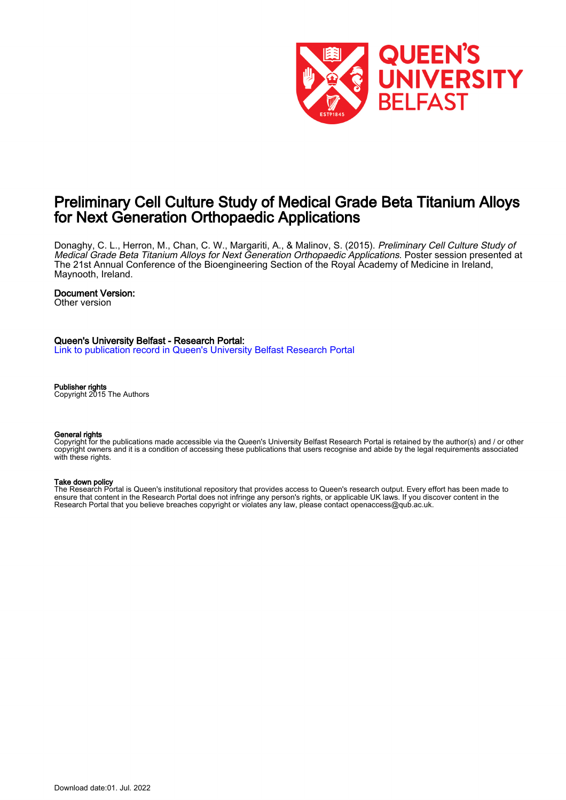

#### Preliminary Cell Culture Study of Medical Grade Beta Titanium Alloys for Next Generation Orthopaedic Applications

Donaghy, C. L., Herron, M., Chan, C. W., Margariti, A., & Malinov, S. (2015). Preliminary Cell Culture Study of Medical Grade Beta Titanium Alloys for Next Generation Orthopaedic Applications. Poster session presented at The 21st Annual Conference of the Bioengineering Section of the Royal Academy of Medicine in Ireland, Maynooth, Ireland.

#### Document Version:

Other version

#### Queen's University Belfast - Research Portal:

[Link to publication record in Queen's University Belfast Research Portal](https://pure.qub.ac.uk/en/publications/c6271f03-702b-4848-b0b9-ce04f7a66c4f)

#### Publisher rights

Copyright 2015 The Authors

#### General rights

Copyright for the publications made accessible via the Queen's University Belfast Research Portal is retained by the author(s) and / or other copyright owners and it is a condition of accessing these publications that users recognise and abide by the legal requirements associated with these rights.

#### Take down policy

The Research Portal is Queen's institutional repository that provides access to Queen's research output. Every effort has been made to ensure that content in the Research Portal does not infringe any person's rights, or applicable UK laws. If you discover content in the Research Portal that you believe breaches copyright or violates any law, please contact openaccess@qub.ac.uk.